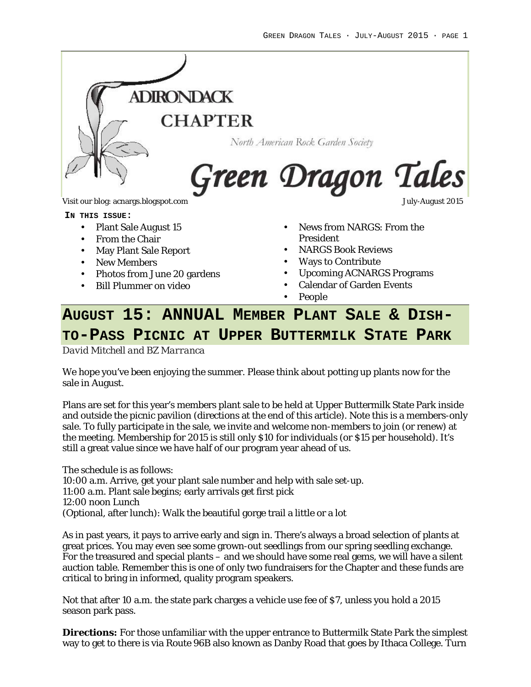

**IN THIS ISSUE:**

- Plant Sale August 15
- From the Chair
- May Plant Sale Report
- New Members
- Photos from June 20 gardens
- Bill Plummer on video

- News from NARGS: From the President
- NARGS Book Reviews
- Ways to Contribute
- Upcoming ACNARGS Programs
- Calendar of Garden Events
- People

# **AUGUST 15: ANNUAL MEMBER PLANT SALE & DISH-TO-PASS PICNIC AT UPPER BUTTERMILK STATE PARK**

*David Mitchell and BZ Marranca*

We hope you've been enjoying the summer. Please think about potting up plants now for the sale in August.

Plans are set for this year's members plant sale to be held at Upper Buttermilk State Park inside and outside the picnic pavilion (directions at the end of this article). Note this is a members-only sale. To fully participate in the sale, we invite and welcome non-members to join (or renew) at the meeting. Membership for 2015 is still only \$10 for individuals (or \$15 per household). It's still a great value since we have half of our program year ahead of us.

The schedule is as follows:

10:00 a.m. Arrive, get your plant sale number and help with sale set-up. 11:00 a.m. Plant sale begins; early arrivals get first pick 12:00 noon Lunch (Optional, after lunch): Walk the beautiful gorge trail a little or a lot

As in past years, it pays to arrive early and sign in. There's always a broad selection of plants at great prices. You may even see some grown-out seedlings from our spring seedling exchange. For the treasured and special plants – and we should have some real gems, we will have a silent auction table. Remember this is one of only two fundraisers for the Chapter and these funds are critical to bring in informed, quality program speakers.

Not that after 10 a.m. the state park charges a vehicle use fee of \$7, unless you hold a 2015 season park pass.

**Directions:** For those unfamiliar with the upper entrance to Buttermilk State Park the simplest way to get to there is via Route 96B also known as Danby Road that goes by Ithaca College. Turn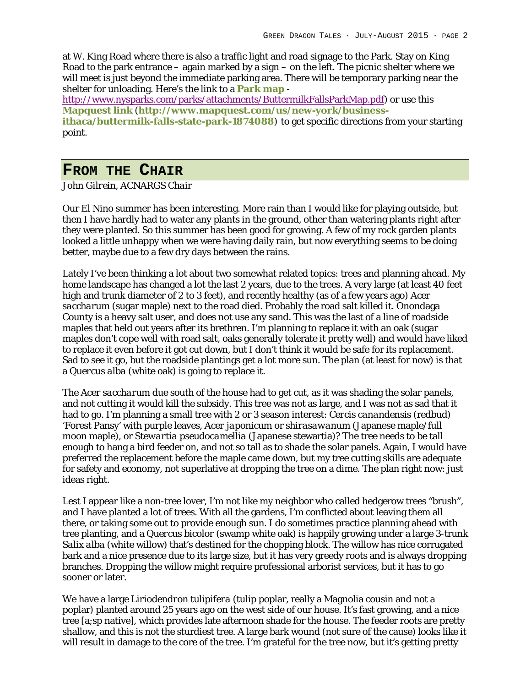at W. King Road where there is also a traffic light and road signage to the Park. Stay on King Road to the park entrance – again marked by a sign – on the left. The picnic shelter where we will meet is just beyond the immediate parking area. There will be temporary parking near the shelter for unloading. Here's the link to a **Park map** -

http://www.nysparks.com/parks/attachments/ButtermilkFallsParkMap.pdf) or use this **Mapquest link** (**http://www.mapquest.com/us/new-york/businessithaca/buttermilk-falls-state-park-1874088**) to get specific directions from your starting point.

## **FROM THE CHAIR**

*John Gilrein, ACNARGS Chair*

Our El Nino summer has been interesting. More rain than I would like for playing outside, but then I have hardly had to water any plants in the ground, other than watering plants right after they were planted. So this summer has been good for growing. A few of my rock garden plants looked a little unhappy when we were having daily rain, but now everything seems to be doing better, maybe due to a few dry days between the rains.

Lately I've been thinking a lot about two somewhat related topics: trees and planning ahead. My home landscape has changed a lot the last 2 years, due to the trees. A very large (at least 40 feet high and trunk diameter of 2 to 3 feet), and recently healthy (as of a few years ago) *Acer saccharum* (sugar maple) next to the road died. Probably the road salt killed it. Onondaga County is a heavy salt user, and does not use any sand. This was the last of a line of roadside maples that held out years after its brethren. I'm planning to replace it with an oak (sugar maples don't cope well with road salt, oaks generally tolerate it pretty well) and would have liked to replace it even before it got cut down, but I don't think it would be safe for its replacement. Sad to see it go, but the roadside plantings get a lot more sun. The plan (at least for now) is that a *Quercus alba* (white oak) is going to replace it.

The *Acer saccharum* due south of the house had to get cut, as it was shading the solar panels, and not cutting it would kill the subsidy. This tree was not as large, and I was not as sad that it had to go. I'm planning a small tree with 2 or 3 season interest: *Cercis canandensis* (redbud) 'Forest Pansy' with purple leaves, *Acer japonicum* or *shirasawanum* (Japanese maple/full moon maple), or *Stewartia pseudocamellia* (Japanese stewartia)? The tree needs to be tall enough to hang a bird feeder on, and not so tall as to shade the solar panels. Again, I would have preferred the replacement before the maple came down, but my tree cutting skills are adequate for safety and economy, not superlative at dropping the tree on a dime. The plan right now: just ideas right.

Lest I appear like a non-tree lover, I'm not like my neighbor who called hedgerow trees "brush", and I have planted a lot of trees. With all the gardens, I'm conflicted about leaving them all there, or taking some out to provide enough sun. I do sometimes practice planning ahead with tree planting, and a *Quercus bicolor* (swamp white oak) is happily growing under a large 3-trunk *Salix alba* (white willow) that's destined for the chopping block. The willow has nice corrugated bark and a nice presence due to its large size, but it has very greedy roots and is always dropping branches. Dropping the willow might require professional arborist services, but it has to go sooner or later.

We have a large *Liriodendron tulipifera* (tulip poplar, really a Magnolia cousin and not a poplar) planted around 25 years ago on the west side of our house. It's fast growing, and a nice tree [a;sp native], which provides late afternoon shade for the house. The feeder roots are pretty shallow, and this is not the sturdiest tree. A large bark wound (not sure of the cause) looks like it will result in damage to the core of the tree. I'm grateful for the tree now, but it's getting pretty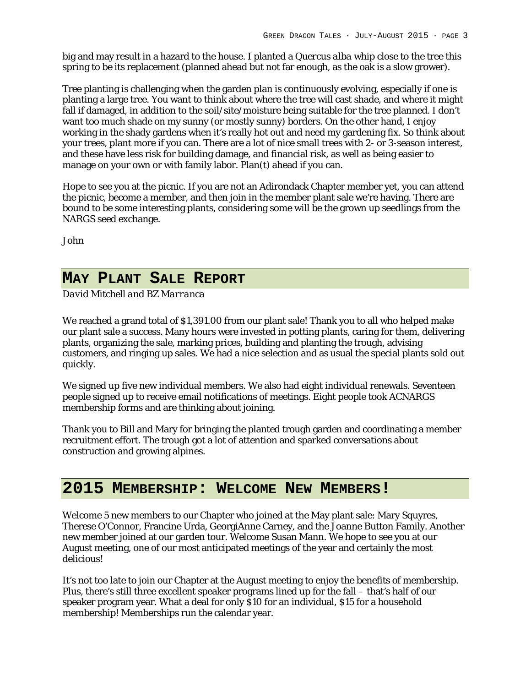big and may result in a hazard to the house. I planted a *Quercus alba* whip close to the tree this spring to be its replacement (planned ahead but not far enough, as the oak is a slow grower).

Tree planting is challenging when the garden plan is continuously evolving, especially if one is planting a large tree. You want to think about where the tree will cast shade, and where it might fall if damaged, in addition to the soil/site/moisture being suitable for the tree planned. I don't want too much shade on my sunny (or mostly sunny) borders. On the other hand, I enjoy working in the shady gardens when it's really hot out and need my gardening fix. So think about your trees, plant more if you can. There are a lot of nice small trees with 2- or 3-season interest, and these have less risk for building damage, and financial risk, as well as being easier to manage on your own or with family labor. Plan(t) ahead if you can.

Hope to see you at the picnic. If you are not an Adirondack Chapter member yet, you can attend the picnic, become a member, and then join in the member plant sale we're having. There are bound to be some interesting plants, considering some will be the grown up seedlings from the NARGS seed exchange.

John

## **MAY PLANT SALE REPORT**

*David Mitchell and BZ Marranca*

We reached a grand total of \$1,391.00 from our plant sale! Thank you to all who helped make our plant sale a success. Many hours were invested in potting plants, caring for them, delivering plants, organizing the sale, marking prices, building and planting the trough, advising customers, and ringing up sales. We had a nice selection and as usual the special plants sold out quickly.

We signed up five new individual members. We also had eight individual renewals. Seventeen people signed up to receive email notifications of meetings. Eight people took ACNARGS membership forms and are thinking about joining.

Thank you to Bill and Mary for bringing the planted trough garden and coordinating a member recruitment effort. The trough got a lot of attention and sparked conversations about construction and growing alpines.

## **2015 MEMBERSHIP: WELCOME NEW MEMBERS!**

Welcome 5 new members to our Chapter who joined at the May plant sale: Mary Squyres, Therese O'Connor, Francine Urda, GeorgiAnne Carney, and the Joanne Button Family. Another new member joined at our garden tour. Welcome Susan Mann. We hope to see you at our August meeting, one of our most anticipated meetings of the year and certainly the most delicious!

It's not too late to join our Chapter at the August meeting to enjoy the benefits of membership. Plus, there's still three excellent speaker programs lined up for the fall – that's half of our speaker program year. What a deal for only \$10 for an individual, \$15 for a household membership! Memberships run the calendar year.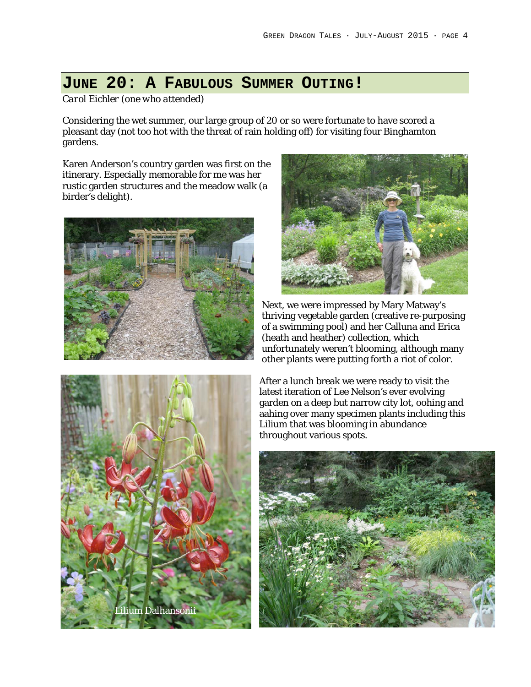# **JUNE 20: A FABULOUS SUMMER OUTING!**

*Carol Eichler (one who attended)*

Considering the wet summer, our large group of 20 or so were fortunate to have scored a pleasant day (not too hot with the threat of rain holding off) for visiting four Binghamton gardens.

Karen Anderson's country garden was first on the itinerary. Especially memorable for me was her rustic garden structures and the meadow walk (a birder's delight).





Next, we were impressed by Mary Matway's thriving vegetable garden (creative re-purposing of a swimming pool) and her Calluna and Erica (heath and heather) collection, which unfortunately weren't blooming, although many other plants were putting forth a riot of color.



After a lunch break we were ready to visit the latest iteration of Lee Nelson's ever evolving garden on a deep but narrow city lot, oohing and aahing over many specimen plants including this Lilium that was blooming in abundance throughout various spots.

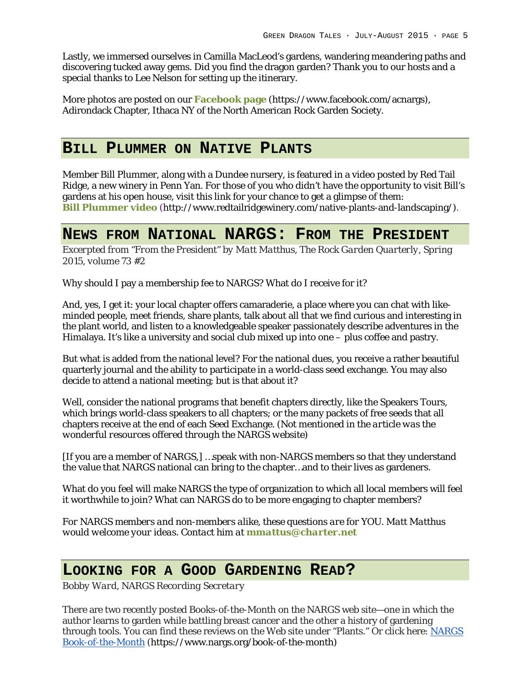Lastly, we immersed ourselves in Camilla MacLeod's gardens, wandering meandering paths and discovering tucked away gems. Did you find the dragon garden? Thank you to our hosts and a special thanks to Lee Nelson for setting up the itinerary.

More photos are posted on our **Facebook page** (https://www.facebook.com/acnargs), Adirondack Chapter, Ithaca NY of the North American Rock Garden Society.

## **BILL PLUMMER ON NATIVE PLANTS**

Member Bill Plummer, along with a Dundee nursery, is featured in a video posted by Red Tail Ridge, a new winery in Penn Yan. For those of you who didn't have the opportunity to visit Bill's gardens at his open house, visit this link for your chance to get a glimpse of them: **Bill Plummer video** (http://www.redtailridgewinery.com/native-plants-and-landscaping/).

### **NEWS FROM NATIONAL NARGS: FROM THE PRESIDENT**

*Excerpted from "From the President" by Matt Matthus, The Rock Garden Quarterly, Spring 2015, volume 73 #2*

Why should I pay a membership fee to NARGS? What do I receive for it?

And, yes, I get it: your local chapter offers camaraderie, a place where you can chat with likeminded people, meet friends, share plants, talk about all that we find curious and interesting in the plant world, and listen to a knowledgeable speaker passionately describe adventures in the Himalaya. It's like a university and social club mixed up into one – plus coffee and pastry.

But what is added from the national level? For the national dues, you receive a rather beautiful quarterly journal and the ability to participate in a world-class seed exchange. You may also decide to attend a national meeting; but is that about it?

Well, consider the national programs that benefit chapters directly, like the Speakers Tours, which brings world-class speakers to all chapters; or the many packets of free seeds that all chapters receive at the end of each Seed Exchange. *(Not mentioned in the article was the wonderful resources offered through the NARGS website)*

[If you are a member of NARGS,] …speak with non-NARGS members so that they understand the value that NARGS national can bring to the chapter…and to their lives as gardeners.

What do you feel will make NARGS the type of organization to which all local members will feel it worthwhile to join? What can NARGS do to be more engaging to chapter members?

*For NARGS members and non-members alike, these questions are for YOU. Matt Matthus would welcome your ideas. Contact him at mmattus@charter.net*

### **LOOKING FOR A GOOD GARDENING READ?**

*Bobby Ward, NARGS Recording Secretary*

There are two recently posted Books-of-the-Month on the NARGS web site—one in which the author learns to garden while battling breast cancer and the other a history of gardening through tools. You can find these reviews on the Web site under "Plants." Or click here: NARGS Book-of-the-Month (https://www.nargs.org/book-of-the-month)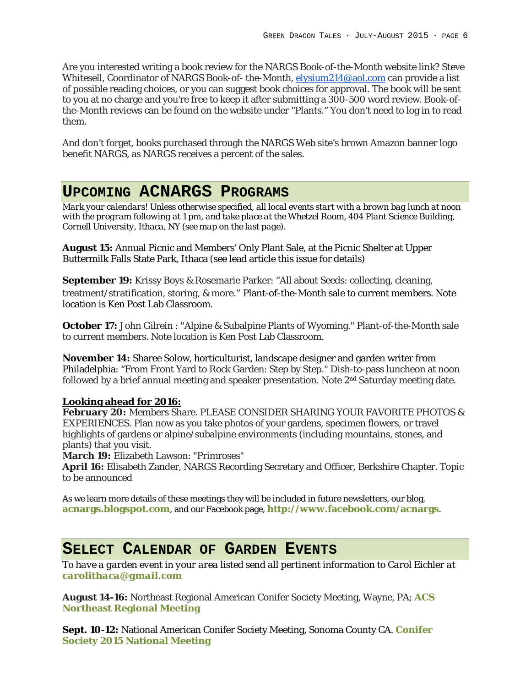Are you interested writing a book review for the NARGS Book-of-the-Month website link? Steve Whitesell, Coordinator of NARGS Book-of- the-Month, elysium214@aol.com can provide a list of possible reading choices, or you can suggest book choices for approval. The book will be sent to you at no charge and you're free to keep it after submitting a 300-500 word review. Book-ofthe-Month reviews can be found on the website under "Plants." You don't need to log in to read them.

And don't forget, books purchased through the NARGS Web site's brown Amazon banner logo benefit NARGS, as NARGS receives a percent of the sales.

# **UPCOMING ACNARGS PROGRAMS**

*Mark your calendars! Unless otherwise specified, all local events start with a brown bag lunch at noon with the program following at 1 pm, and take place at the Whetzel Room, 404 Plant Science Building, Cornell University, Ithaca, NY (see map on the last page).*

**August 15:** Annual Picnic and Members' Only Plant Sale, at the Picnic Shelter at Upper Buttermilk Falls State Park, Ithaca (see lead article this issue for details)

**September 19:** Krissy Boys & Rosemarie Parker: "All about Seeds: collecting, cleaning, treatment/stratification, storing, & more." Plant-of-the-Month sale to current members. Note location is Ken Post Lab Classroom.

**October 17:** John Gilrein : "Alpine & Subalpine Plants of Wyoming." Plant-of-the-Month sale to current members. Note location is Ken Post Lab Classroom.

**November 14:** Sharee Solow, horticulturist, landscape designer and garden writer from Philadelphia: "From Front Yard to Rock Garden: Step by Step." Dish-to-pass luncheon at noon followed by a brief annual meeting and speaker presentation. Note 2<sup>nd</sup> Saturday meeting date.

#### **Looking ahead for 2016:**

**February 20:** Members Share. PLEASE CONSIDER SHARING YOUR FAVORITE PHOTOS & EXPERIENCES. Plan now as you take photos of your gardens, specimen flowers, or travel highlights of gardens or alpine/subalpine environments (including mountains, stones, and plants) that you visit.

**March 19:** Elizabeth Lawson: "Primroses"

**April 16:** Elisabeth Zander, NARGS Recording Secretary and Officer, Berkshire Chapter. Topic to be announced

As we learn more details of these meetings they will be included in future newsletters, our blog, **acnargs.blogspot.com**, and our Facebook page, **http://www.facebook.com/acnargs**.

### **SELECT CALENDAR OF GARDEN EVENTS**

*To have a garden event in your area listed send all pertinent information to Carol Eichler at carolithaca@gmail.com*

**August 14-16:** Northeast Regional American Conifer Society Meeting, Wayne, PA; **ACS Northeast Regional Meeting**

**Sept. 10-12:** National American Conifer Society Meeting, Sonoma County CA. **Conifer Society 2015 National Meeting**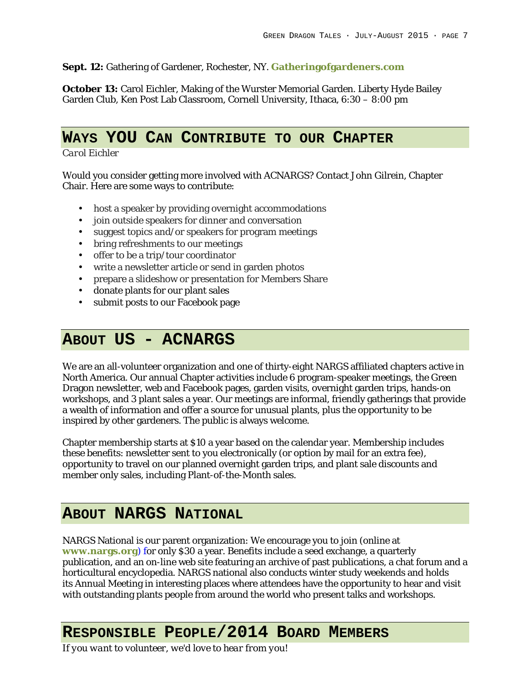#### **Sept. 12:** Gathering of Gardener, Rochester, NY. **Gatheringofgardeners.com**

**October 13:** Carol Eichler, Making of the Wurster Memorial Garden. Liberty Hyde Bailey Garden Club, Ken Post Lab Classroom, Cornell University, Ithaca, 6:30 – 8:00 pm

## **WAYS YOU CAN CONTRIBUTE TO OUR CHAPTER**

#### *Carol Eichler*

Would you consider getting more involved with ACNARGS? Contact John Gilrein, Chapter Chair. Here are some ways to contribute:

- host a speaker by providing overnight accommodations
- join outside speakers for dinner and conversation
- suggest topics and/or speakers for program meetings
- bring refreshments to our meetings
- offer to be a trip/tour coordinator
- write a newsletter article or send in garden photos
- prepare a slideshow or presentation for Members Share
- donate plants for our plant sales
- submit posts to our Facebook page

## **ABOUT US - ACNARGS**

We are an all-volunteer organization and one of thirty-eight NARGS affiliated chapters active in North America. Our annual Chapter activities include 6 program-speaker meetings, the Green Dragon newsletter, web and Facebook pages, garden visits, overnight garden trips, hands-on workshops, and 3 plant sales a year. Our meetings are informal, friendly gatherings that provide a wealth of information and offer a source for unusual plants, plus the opportunity to be inspired by other gardeners. The public is always welcome.

Chapter membership starts at \$10 a year based on the calendar year. Membership includes these benefits: newsletter sent to you electronically (or option by mail for an extra fee), opportunity to travel on our planned overnight garden trips, and plant sale discounts and member only sales, including Plant-of-the-Month sales.

### **ABOUT NARGS NATIONAL**

NARGS National is our parent organization: We encourage you to join (online at **www.nargs.org**) for only \$30 a year. Benefits include a seed exchange, a quarterly publication, and an on-line web site featuring an archive of past publications, a chat forum and a horticultural encyclopedia. NARGS national also conducts winter study weekends and holds its Annual Meeting in interesting places where attendees have the opportunity to hear and visit with outstanding plants people from around the world who present talks and workshops.

# **RESPONSIBLE PEOPLE/2014 BOARD MEMBERS**

*If you want to volunteer, we'd love to hear from you!*